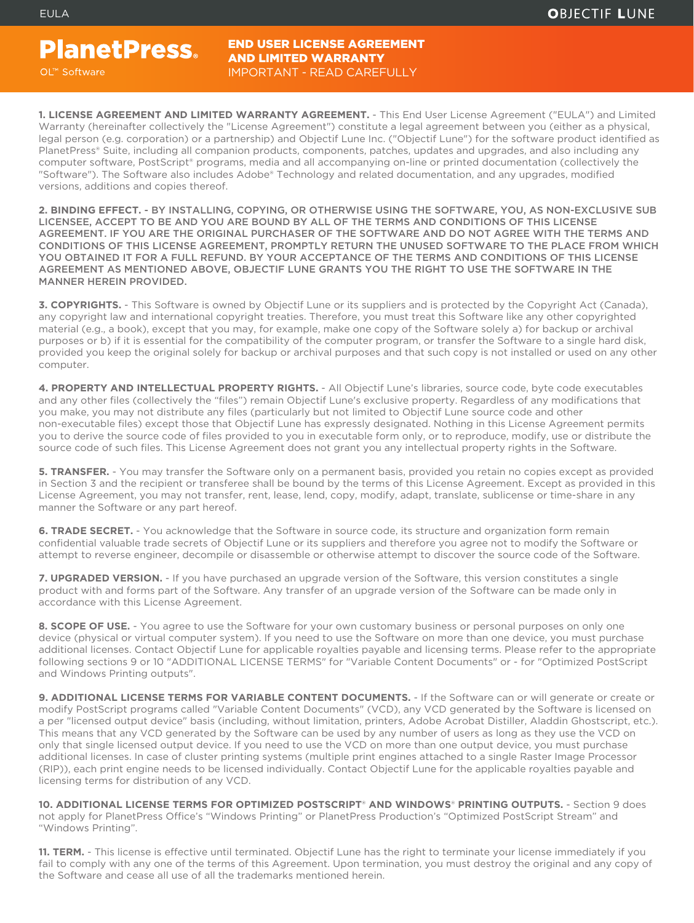**PlanetPress.** OL™ Software

END USER LICENSE AGREEMENT AND LIMITED WARRANTY IMPORTANT - READ CAREFULLY

**1. LICENSE AGREEMENT AND LIMITED WARRANTY AGREEMENT.** - This End User License Agreement ("EULA") and Limited Warranty (hereinafter collectively the "License Agreement") constitute a legal agreement between you (either as a physical, legal person (e.g. corporation) or a partnership) and Objectif Lune Inc. ("Objectif Lune") for the software product identified as PlanetPress® Suite, including all companion products, components, patches, updates and upgrades, and also including any computer software, PostScript® programs, media and all accompanying on-line or printed documentation (collectively the "Software"). The Software also includes Adobe® Technology and related documentation, and any upgrades, modified versions, additions and copies thereof.

**2. BINDING EFFECT.** - BY INSTALLING, COPYING, OR OTHERWISE USING THE SOFTWARE, YOU, AS NON-EXCLUSIVE SUB LICENSEE, ACCEPT TO BE AND YOU ARE BOUND BY ALL OF THE TERMS AND CONDITIONS OF THIS LICENSE AGREEMENT. IF YOU ARE THE ORIGINAL PURCHASER OF THE SOFTWARE AND DO NOT AGREE WITH THE TERMS AND CONDITIONS OF THIS LICENSE AGREEMENT, PROMPTLY RETURN THE UNUSED SOFTWARE TO THE PLACE FROM WHICH YOU OBTAINED IT FOR A FULL REFUND. BY YOUR ACCEPTANCE OF THE TERMS AND CONDITIONS OF THIS LICENSE AGREEMENT AS MENTIONED ABOVE, OBJECTIF LUNE GRANTS YOU THE RIGHT TO USE THE SOFTWARE IN THE MANNER HEREIN PROVIDED.

**3. COPYRIGHTS.** - This Software is owned by Objectif Lune or its suppliers and is protected by the Copyright Act (Canada), any copyright law and international copyright treaties. Therefore, you must treat this Software like any other copyrighted material (e.g., a book), except that you may, for example, make one copy of the Software solely a) for backup or archival purposes or b) if it is essential for the compatibility of the computer program, or transfer the Software to a single hard disk, provided you keep the original solely for backup or archival purposes and that such copy is not installed or used on any other computer.

**4. PROPERTY AND INTELLECTUAL PROPERTY RIGHTS.** - All Objectif Lune's libraries, source code, byte code executables and any other files (collectively the "files") remain Objectif Lune's exclusive property. Regardless of any modifications that you make, you may not distribute any files (particularly but not limited to Objectif Lune source code and other non-executable files) except those that Objectif Lune has expressly designated. Nothing in this License Agreement permits you to derive the source code of files provided to you in executable form only, or to reproduce, modify, use or distribute the source code of such files. This License Agreement does not grant you any intellectual property rights in the Software.

**5. TRANSFER.** - You may transfer the Software only on a permanent basis, provided you retain no copies except as provided in Section 3 and the recipient or transferee shall be bound by the terms of this License Agreement. Except as provided in this License Agreement, you may not transfer, rent, lease, lend, copy, modify, adapt, translate, sublicense or time-share in any manner the Software or any part hereof.

**6. TRADE SECRET.** - You acknowledge that the Software in source code, its structure and organization form remain confidential valuable trade secrets of Objectif Lune or its suppliers and therefore you agree not to modify the Software or attempt to reverse engineer, decompile or disassemble or otherwise attempt to discover the source code of the Software.

**7. UPGRADED VERSION.** - If you have purchased an upgrade version of the Software, this version constitutes a single product with and forms part of the Software. Any transfer of an upgrade version of the Software can be made only in accordance with this License Agreement.

8. SCOPE OF USE. - You agree to use the Software for your own customary business or personal purposes on only one device (physical or virtual computer system). If you need to use the Software on more than one device, you must purchase additional licenses. Contact Objectif Lune for applicable royalties payable and licensing terms. Please refer to the appropriate following sections 9 or 10 "ADDITIONAL LICENSE TERMS" for "Variable Content Documents" or - for "Optimized PostScript and Windows Printing outputs".

**9. ADDITIONAL LICENSE TERMS FOR VARIABLE CONTENT DOCUMENTS.** - If the Software can or will generate or create or modify PostScript programs called "Variable Content Documents" (VCD), any VCD generated by the Software is licensed on a per "licensed output device" basis (including, without limitation, printers, Adobe Acrobat Distiller, Aladdin Ghostscript, etc.). This means that any VCD generated by the Software can be used by any number of users as long as they use the VCD on only that single licensed output device. If you need to use the VCD on more than one output device, you must purchase additional licenses. In case of cluster printing systems (multiple print engines attached to a single Raster Image Processor (RIP)), each print engine needs to be licensed individually. Contact Objectif Lune for the applicable royalties payable and licensing terms for distribution of any VCD.

**10. ADDITIONAL LICENSE TERMS FOR OPTIMIZED POSTSCRIPT**® **AND WINDOWS**® **PRINTING OUTPUTS.** - Section 9 does not apply for PlanetPress Office's "Windows Printing" or PlanetPress Production's "Optimized PostScript Stream" and "Windows Printing".

11. TERM. - This license is effective until terminated. Objectif Lune has the right to terminate your license immediately if you fail to comply with any one of the terms of this Agreement. Upon termination, you must destroy the original and any copy of the Software and cease all use of all the trademarks mentioned herein.